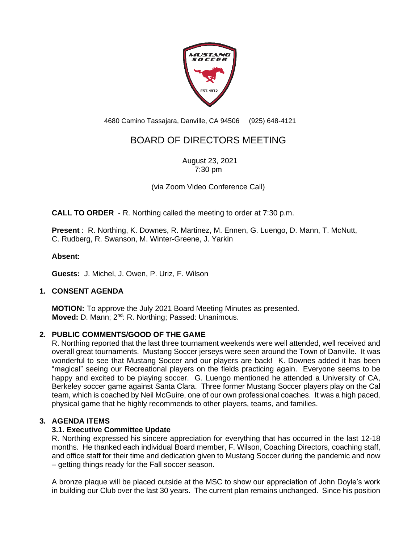

4680 Camino Tassajara, Danville, CA 94506 (925) 648-4121

# BOARD OF DIRECTORS MEETING

August 23, 2021 7:30 pm

(via Zoom Video Conference Call)

**CALL TO ORDER** - R. Northing called the meeting to order at 7:30 p.m.

**Present** : R. Northing, K. Downes, R. Martinez, M. Ennen, G. Luengo, D. Mann, T. McNutt, C. Rudberg, R. Swanson, M. Winter-Greene, J. Yarkin

# **Absent:**

**Guests:** J. Michel, J. Owen, P. Uriz, F. Wilson

# **1. CONSENT AGENDA**

**MOTION:** To approve the July 2021 Board Meeting Minutes as presented. **Moved:** D. Mann; 2<sup>nd</sup>: R. Northing; Passed: Unanimous.

# **2. PUBLIC COMMENTS/GOOD OF THE GAME**

R. Northing reported that the last three tournament weekends were well attended, well received and overall great tournaments. Mustang Soccer jerseys were seen around the Town of Danville. It was wonderful to see that Mustang Soccer and our players are back! K. Downes added it has been "magical" seeing our Recreational players on the fields practicing again. Everyone seems to be happy and excited to be playing soccer. G. Luengo mentioned he attended a University of CA, Berkeley soccer game against Santa Clara. Three former Mustang Soccer players play on the Cal team, which is coached by Neil McGuire, one of our own professional coaches. It was a high paced, physical game that he highly recommends to other players, teams, and families.

# **3. AGENDA ITEMS**

# **3.1. Executive Committee Update**

R. Northing expressed his sincere appreciation for everything that has occurred in the last 12-18 months. He thanked each individual Board member, F. Wilson, Coaching Directors, coaching staff, and office staff for their time and dedication given to Mustang Soccer during the pandemic and now – getting things ready for the Fall soccer season.

A bronze plaque will be placed outside at the MSC to show our appreciation of John Doyle's work in building our Club over the last 30 years. The current plan remains unchanged. Since his position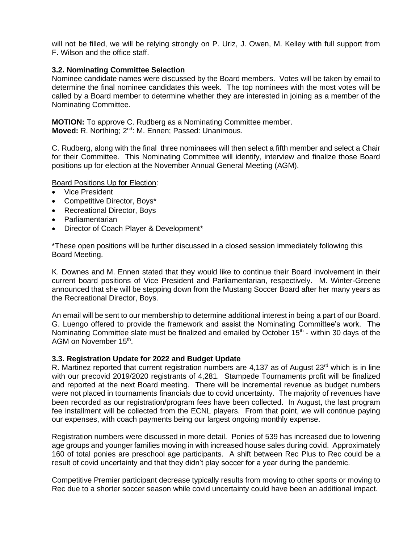will not be filled, we will be relying strongly on P. Uriz, J. Owen, M. Kelley with full support from F. Wilson and the office staff.

### **3.2. Nominating Committee Selection**

Nominee candidate names were discussed by the Board members. Votes will be taken by email to determine the final nominee candidates this week. The top nominees with the most votes will be called by a Board member to determine whether they are interested in joining as a member of the Nominating Committee.

**MOTION:** To approve C. Rudberg as a Nominating Committee member. **Moved:** R. Northing; 2<sup>nd</sup>: M. Ennen; Passed: Unanimous.

C. Rudberg, along with the final three nominaees will then select a fifth member and select a Chair for their Committee. This Nominating Committee will identify, interview and finalize those Board positions up for election at the November Annual General Meeting (AGM).

Board Positions Up for Election:

- Vice President
- Competitive Director, Boys\*
- Recreational Director, Boys
- Parliamentarian
- Director of Coach Player & Development\*

\*These open positions will be further discussed in a closed session immediately following this Board Meeting.

K. Downes and M. Ennen stated that they would like to continue their Board involvement in their current board positions of Vice President and Parliamentarian, respectively. M. Winter-Greene announced that she will be stepping down from the Mustang Soccer Board after her many years as the Recreational Director, Boys.

An email will be sent to our membership to determine additional interest in being a part of our Board. G. Luengo offered to provide the framework and assist the Nominating Committee's work. The Nominating Committee slate must be finalized and emailed by October 15<sup>th</sup> - within 30 days of the AGM on November 15<sup>th</sup>.

#### **3.3. Registration Update for 2022 and Budget Update**

R. Martinez reported that current registration numbers are 4,137 as of August 23<sup>rd</sup> which is in line with our precovid 2019/2020 registrants of 4,281. Stampede Tournaments profit will be finalized and reported at the next Board meeting. There will be incremental revenue as budget numbers were not placed in tournaments financials due to covid uncertainty. The majority of revenues have been recorded as our registration/program fees have been collected. In August, the last program fee installment will be collected from the ECNL players. From that point, we will continue paying our expenses, with coach payments being our largest ongoing monthly expense.

Registration numbers were discussed in more detail. Ponies of 539 has increased due to lowering age groups and younger families moving in with increased house sales during covid. Approximately 160 of total ponies are preschool age participants. A shift between Rec Plus to Rec could be a result of covid uncertainty and that they didn't play soccer for a year during the pandemic.

Competitive Premier participant decrease typically results from moving to other sports or moving to Rec due to a shorter soccer season while covid uncertainty could have been an additional impact.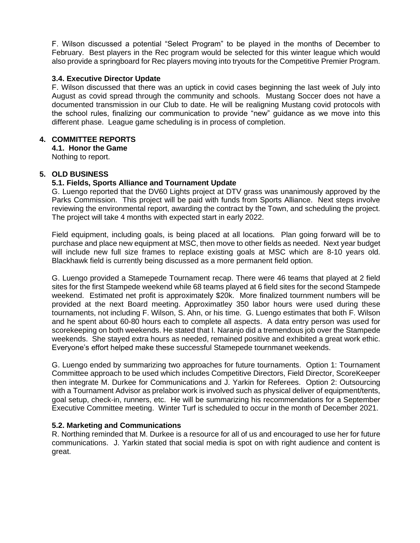F. Wilson discussed a potential "Select Program" to be played in the months of December to February. Best players in the Rec program would be selected for this winter league which would also provide a springboard for Rec players moving into tryouts for the Competitive Premier Program.

# **3.4. Executive Director Update**

F. Wilson discussed that there was an uptick in covid cases beginning the last week of July into August as covid spread through the community and schools. Mustang Soccer does not have a documented transmission in our Club to date. He will be realigning Mustang covid protocols with the school rules, finalizing our communication to provide "new" guidance as we move into this different phase. League game scheduling is in process of completion.

#### **4. COMMITTEE REPORTS**

**4.1. Honor the Game**

Nothing to report.

### **5. OLD BUSINESS**

#### **5.1. Fields, Sports Alliance and Tournament Update**

G. Luengo reported that the DV60 Lights project at DTV grass was unanimously approved by the Parks Commission. This project will be paid with funds from Sports Alliance. Next steps involve reviewing the environmental report, awarding the contract by the Town, and scheduling the project. The project will take 4 months with expected start in early 2022.

Field equipment, including goals, is being placed at all locations. Plan going forward will be to purchase and place new equipment at MSC, then move to other fields as needed. Next year budget will include new full size frames to replace existing goals at MSC which are 8-10 years old. Blackhawk field is currently being discussed as a more permanent field option.

G. Luengo provided a Stamepede Tournament recap. There were 46 teams that played at 2 field sites for the first Stampede weekend while 68 teams played at 6 field sites for the second Stampede weekend. Estimated net profit is approximately \$20k. More finalized tournment numbers will be provided at the next Board meeting. Approximatley 350 labor hours were used during these tournaments, not including F. Wilson, S. Ahn, or his time. G. Luengo estimates that both F. Wilson and he spent about 60-80 hours each to complete all aspects. A data entry person was used for scorekeeping on both weekends. He stated that I. Naranjo did a tremendous job over the Stampede weekends. She stayed extra hours as needed, remained positive and exhibited a great work ethic. Everyone's effort helped make these successful Stamepede tournmanet weekends.

G. Luengo ended by summarizing two approaches for future tournaments. Option 1: Tournament Committee approach to be used which includes Competitive Directors, Field Director, ScoreKeeper then integrate M. Durkee for Communications and J. Yarkin for Referees. Option 2: Outsourcing with a Tournament Advisor as prelabor work is involved such as physical deliver of equipment/tents, goal setup, check-in, runners, etc. He will be summarizing his recommendations for a September Executive Committee meeting. Winter Turf is scheduled to occur in the month of December 2021.

# **5.2. Marketing and Communications**

R. Northing reminded that M. Durkee is a resource for all of us and encouraged to use her for future communications. J. Yarkin stated that social media is spot on with right audience and content is great.